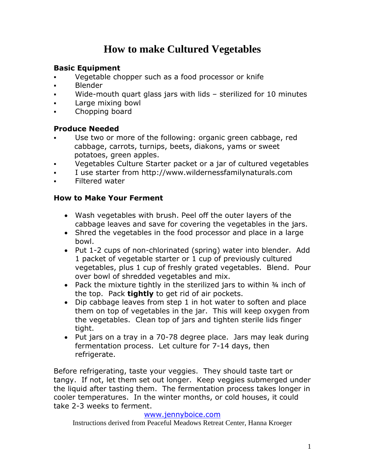# **How to make Cultured Vegetables**

## **Basic Equipment**

- Vegetable chopper such as a food processor or knife
- Blender
- Wide-mouth quart glass jars with lids sterilized for 10 minutes
- **Large mixing bowl**
- Chopping board

#### **Produce Needed**

- Use two or more of the following: organic green cabbage, red cabbage, carrots, turnips, beets, diakons, yams or sweet potatoes, green apples.
- Vegetables Culture Starter packet or a jar of cultured vegetables
- I use starter from http://www.wildernessfamilynaturals.com
- Filtered water

#### **How to Make Your Ferment**

- Wash vegetables with brush. Peel off the outer layers of the cabbage leaves and save for covering the vegetables in the jars.
- Shred the vegetables in the food processor and place in a large bowl.
- Put 1-2 cups of non-chlorinated (spring) water into blender. Add 1 packet of vegetable starter or 1 cup of previously cultured vegetables, plus 1 cup of freshly grated vegetables. Blend. Pour over bowl of shredded vegetables and mix.
- Pack the mixture tightly in the sterilized jars to within 34 inch of the top. Pack **tightly** to get rid of air pockets.
- Dip cabbage leaves from step 1 in hot water to soften and place them on top of vegetables in the jar. This will keep oxygen from the vegetables. Clean top of jars and tighten sterile lids finger tight.
- Put jars on a tray in a 70-78 degree place. Jars may leak during fermentation process. Let culture for 7-14 days, then refrigerate.

Before refrigerating, taste your veggies. They should taste tart or tangy. If not, let them set out longer. Keep veggies submerged under the liquid after tasting them. The fermentation process takes longer in cooler temperatures. In the winter months, or cold houses, it could take 2-3 weeks to ferment.

#### [www.jennyboice.com](http://www.jennyboice.com/)

Instructions derived from Peaceful Meadows Retreat Center, Hanna Kroeger